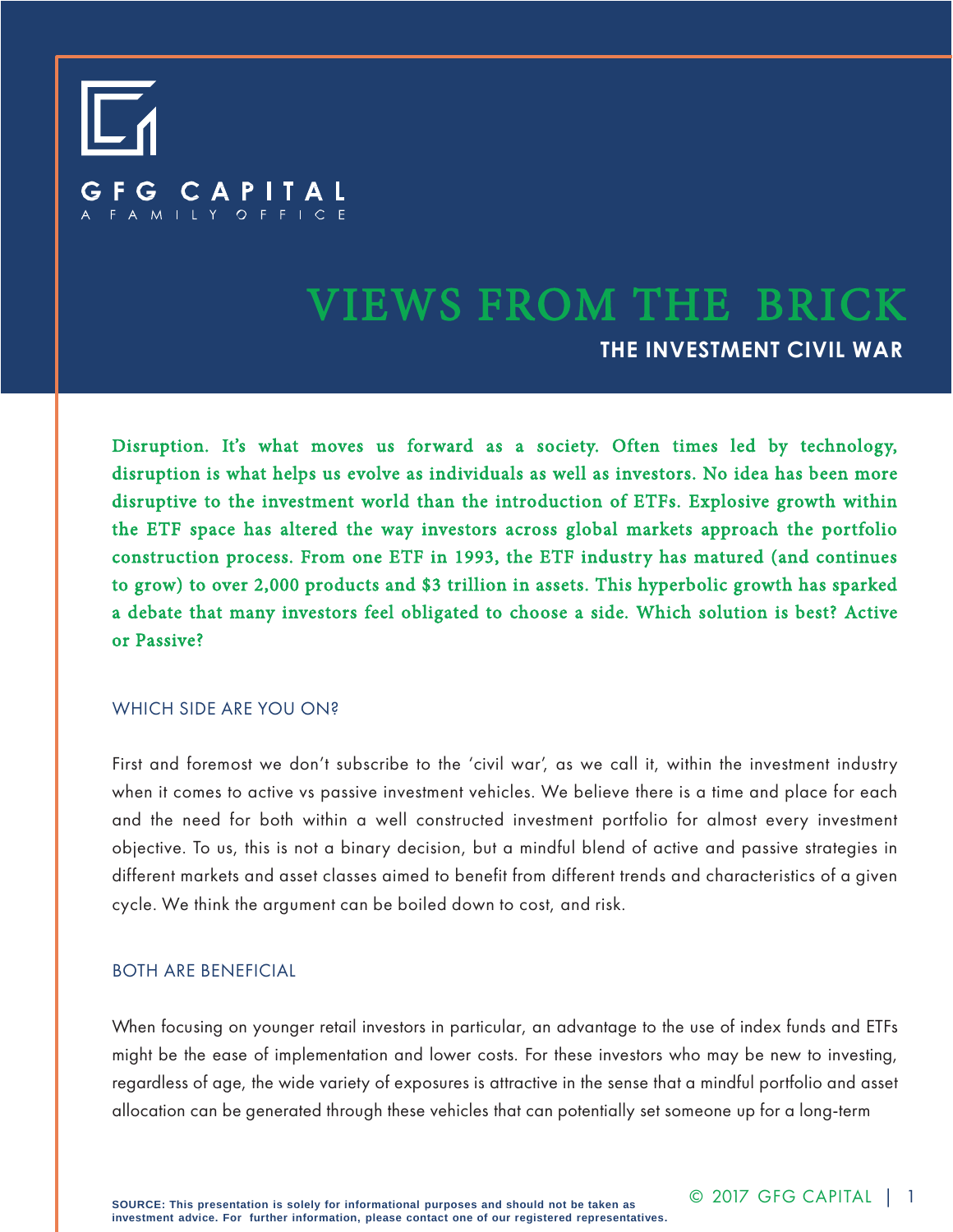# CAPITAL FAMILY OFFICE

## VIEWS FROM THE BRICK **THE INVESTMENT CIVIL WAR**

Disruption. It's what moves us forward as a society. Often times led by technology, disruption is what helps us evolve as individuals as well as investors. No idea has been more disruptive to the investment world than the introduction of ETFs. Explosive growth within the ETF space has altered the way investors across global markets approach the portfolio construction process. From one ETF in 1993, the ETF industry has matured (and continues to grow) to over 2,000 products and \$3 trillion in assets. This hyperbolic growth has sparked a debate that many investors feel obligated to choose a side. Which solution is best? Active or Passive?

#### WHICH SIDE ARE YOU ON?

First and foremost we don't subscribe to the 'civil war', as we call it, within the investment industry when it comes to active vs passive investment vehicles. We believe there is a time and place for each and the need for both within a well constructed investment portfolio for almost every investment objective. To us, this is not a binary decision, but a mindful blend of active and passive strategies in different markets and asset classes aimed to benefit from different trends and characteristics of a given cycle. We think the argument can be boiled down to cost, and risk.

#### BOTH ARE BENEFICIAL

When focusing on younger retail investors in particular, an advantage to the use of index funds and ETFs might be the ease of implementation and lower costs. For these investors who may be new to investing, regardless of age, the wide variety of exposures is attractive in the sense that a mindful portfolio and asset allocation can be generated through these vehicles that can potentially set someone up for a long-term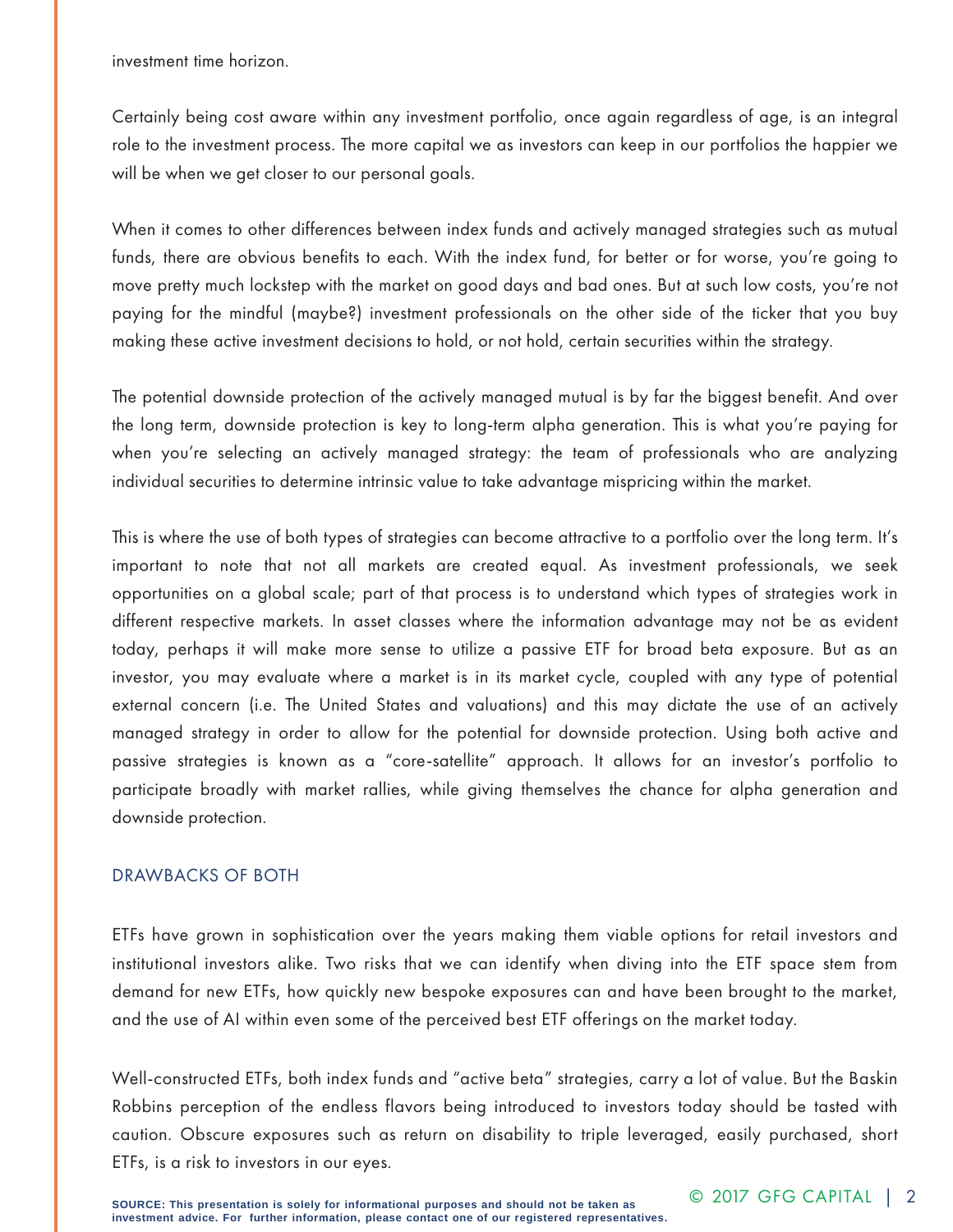investment time horizon.

Certainly being cost aware within any investment portfolio, once again regardless of age, is an integral role to the investment process. The more capital we as investors can keep in our portfolios the happier we will be when we get closer to our personal goals.

When it comes to other differences between index funds and actively managed strategies such as mutual funds, there are obvious benefits to each. With the index fund, for better or for worse, you're going to move pretty much lockstep with the market on good days and bad ones. But at such low costs, you're not paying for the mindful (maybe?) investment professionals on the other side of the ticker that you buy making these active investment decisions to hold, or not hold, certain securities within the strategy.

The potential downside protection of the actively managed mutual is by far the biggest benefit. And over the long term, downside protection is key to long-term alpha generation. This is what you're paying for when you're selecting an actively managed strategy: the team of professionals who are analyzing individual securities to determine intrinsic value to take advantage mispricing within the market.

This is where the use of both types of strategies can become attractive to a portfolio over the long term. It's important to note that not all markets are created equal. As investment professionals, we seek opportunities on a global scale; part of that process is to understand which types of strategies work in different respective markets. In asset classes where the information advantage may not be as evident today, perhaps it will make more sense to utilize a passive ETF for broad beta exposure. But as an investor, you may evaluate where a market is in its market cycle, coupled with any type of potential external concern (i.e. The United States and valuations) and this may dictate the use of an actively managed strategy in order to allow for the potential for downside protection. Using both active and passive strategies is known as a "core-satellite" approach. It allows for an investor's portfolio to participate broadly with market rallies, while giving themselves the chance for alpha generation and downside protection.

#### DRAWBACKS OF BOTH

ETFs have grown in sophistication over the years making them viable options for retail investors and institutional investors alike. Two risks that we can identify when diving into the ETF space stem from demand for new ETFs, how quickly new bespoke exposures can and have been brought to the market, and the use of AI within even some of the perceived best ETF offerings on the market today.

Well-constructed ETFs, both index funds and "active beta" strategies, carry a lot of value. But the Baskin Robbins perception of the endless flavors being introduced to investors today should be tasted with caution. Obscure exposures such as return on disability to triple leveraged, easily purchased, short ETFs, is a risk to investors in our eyes.